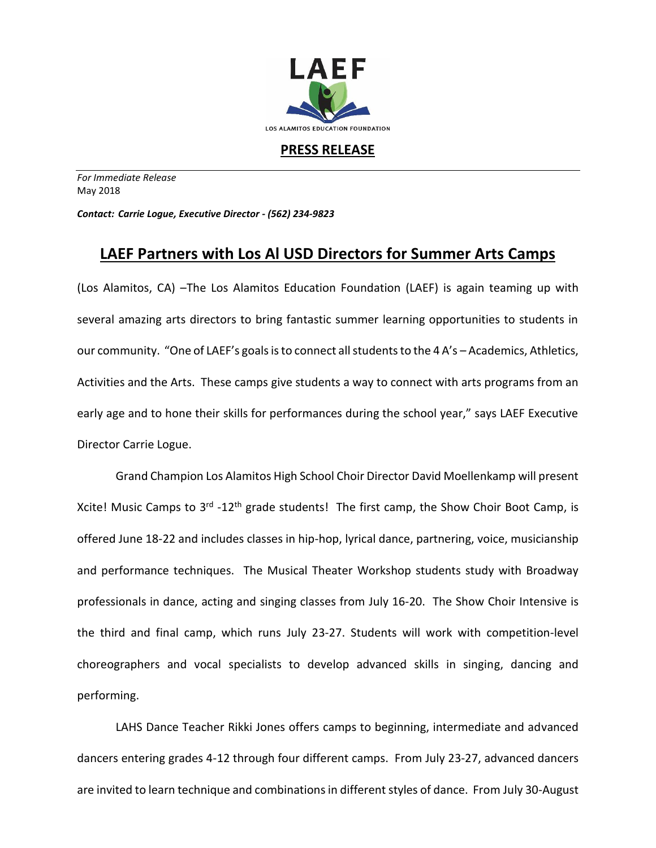

**PRESS RELEASE**

*For Immediate Release*  May 2018

*Contact: Carrie Logue, Executive Director - (562) 234-9823*

## **LAEF Partners with Los Al USD Directors for Summer Arts Camps**

(Los Alamitos, CA) –The Los Alamitos Education Foundation (LAEF) is again teaming up with several amazing arts directors to bring fantastic summer learning opportunities to students in our community. "One of LAEF's goals is to connect all students to the 4 A's – Academics, Athletics, Activities and the Arts. These camps give students a way to connect with arts programs from an early age and to hone their skills for performances during the school year," says LAEF Executive Director Carrie Logue.

Grand Champion Los Alamitos High School Choir Director David Moellenkamp will present Xcite! Music Camps to 3<sup>rd</sup> -12<sup>th</sup> grade students! The first camp, the Show Choir Boot Camp, is offered June 18-22 and includes classes in hip-hop, lyrical dance, partnering, voice, musicianship and performance techniques. The Musical Theater Workshop students study with Broadway professionals in dance, acting and singing classes from July 16-20. The Show Choir Intensive is the third and final camp, which runs July 23-27. Students will work with competition-level choreographers and vocal specialists to develop advanced skills in singing, dancing and performing.

LAHS Dance Teacher Rikki Jones offers camps to beginning, intermediate and advanced dancers entering grades 4-12 through four different camps. From July 23-27, advanced dancers are invited to learn technique and combinations in different styles of dance. From July 30-August